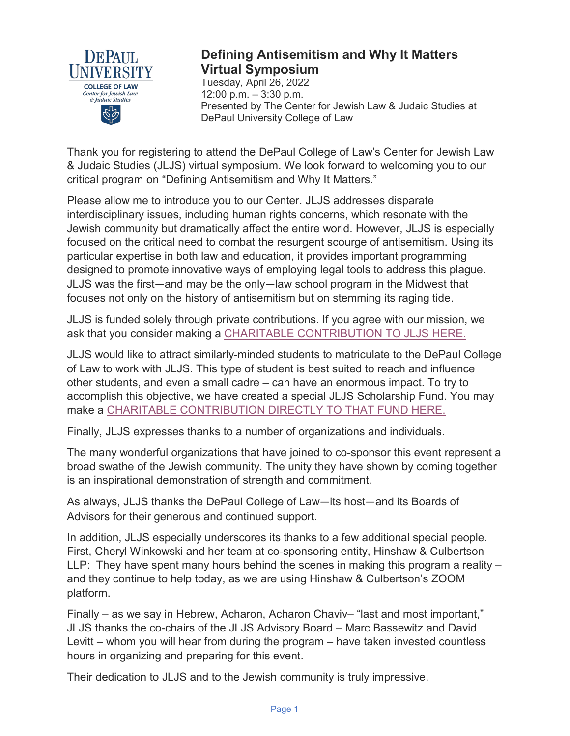

# **Defining Antisemitism and Why It Matters Virtual Symposium**

Tuesday, April 26, 2022 12:00 p.m. – 3:30 p.m. Presented by The Center for Jewish Law & Judaic Studies at DePaul University College of Law

Thank you for registering to attend the DePaul College of Law's Center for Jewish Law & Judaic Studies (JLJS) virtual symposium. We look forward to welcoming you to our critical program on "Defining Antisemitism and Why It Matters."

Please allow me to introduce you to our Center. JLJS addresses disparate interdisciplinary issues, including human rights concerns, which resonate with the Jewish community but dramatically affect the entire world. However, JLJS is especially focused on the critical need to combat the resurgent scourge of antisemitism. Using its particular expertise in both law and education, it provides important programming designed to promote innovative ways of employing legal tools to address this plague. JLJS was the first—and may be the only—law school program in the Midwest that focuses not only on the history of antisemitism but on stemming its raging tide.

JLJS is funded solely through private contributions. If you agree with our mission, we ask that you consider making a [CHARITABLE CONTRIBUTION TO JLJS HERE.](https://secure.alumni.depaul.edu/s/1906/19/interior.aspx?sid=1906&gid=2&pgid=418&cid=1063&bledit=1&dids=279)

JLJS would like to attract similarly-minded students to matriculate to the DePaul College of Law to work with JLJS. This type of student is best suited to reach and influence other students, and even a small cadre – can have an enormous impact. To try to accomplish this objective, we have created a special JLJS Scholarship Fund. You may make a [CHARITABLE CONTRIBUTION DIRECTLY TO THAT FUND HERE.](https://give.depaul.edu/JewishLaw)

Finally, JLJS expresses thanks to a number of organizations and individuals.

The many wonderful organizations that have joined to co-sponsor this event represent a broad swathe of the Jewish community. The unity they have shown by coming together is an inspirational demonstration of strength and commitment.

As always, JLJS thanks the DePaul College of Law—its host—and its Boards of Advisors for their generous and continued support.

In addition, JLJS especially underscores its thanks to a few additional special people. First, Cheryl Winkowski and her team at co-sponsoring entity, Hinshaw & Culbertson LLP: They have spent many hours behind the scenes in making this program a reality – and they continue to help today, as we are using Hinshaw & Culbertson's ZOOM platform.

Finally – as we say in Hebrew, Acharon, Acharon Chaviv– "last and most important," JLJS thanks the co-chairs of the JLJS Advisory Board – Marc Bassewitz and David Levitt – whom you will hear from during the program – have taken invested countless hours in organizing and preparing for this event.

Their dedication to JLJS and to the Jewish community is truly impressive.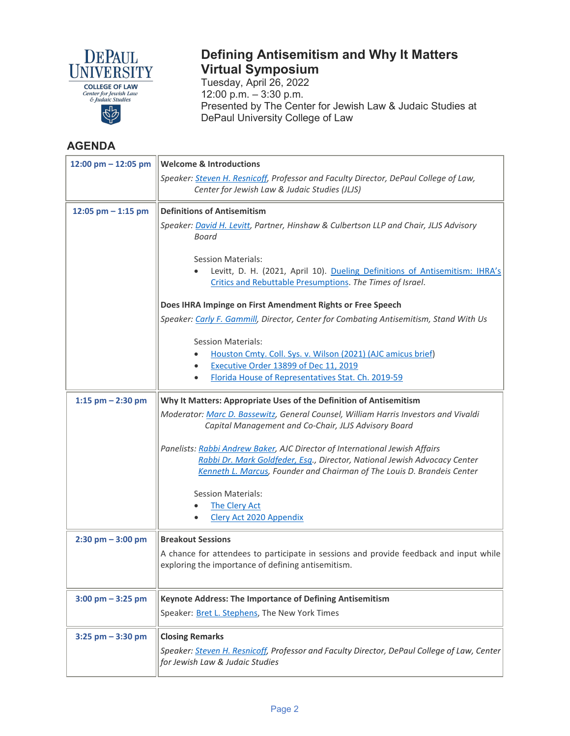

# **Defining Antisemitism and Why It Matters Virtual Symposium**

Tuesday, April 26, 2022  $12:00 \text{ p.m.} - 3:30 \text{ p.m.}$ Presented by The Center for Jewish Law & Judaic Studies at DePaul University College of Law

## **AGENDA**

| $12:00 \text{ pm} - 12:05 \text{ pm}$ | <b>Welcome &amp; Introductions</b>                                                                                                                                                                                                  |  |  |
|---------------------------------------|-------------------------------------------------------------------------------------------------------------------------------------------------------------------------------------------------------------------------------------|--|--|
|                                       | Speaker: Steven H. Resnicoff, Professor and Faculty Director, DePaul College of Law,                                                                                                                                                |  |  |
|                                       | Center for Jewish Law & Judaic Studies (JLJS)                                                                                                                                                                                       |  |  |
| 12:05 pm $-$ 1:15 pm                  | <b>Definitions of Antisemitism</b>                                                                                                                                                                                                  |  |  |
|                                       | Speaker: David H. Levitt, Partner, Hinshaw & Culbertson LLP and Chair, JLJS Advisory<br>Board                                                                                                                                       |  |  |
|                                       | <b>Session Materials:</b><br>Levitt, D. H. (2021, April 10). Dueling Definitions of Antisemitism: IHRA's<br>Critics and Rebuttable Presumptions. The Times of Israel.                                                               |  |  |
|                                       | Does IHRA Impinge on First Amendment Rights or Free Speech                                                                                                                                                                          |  |  |
|                                       | Speaker: Carly F. Gammill, Director, Center for Combating Antisemitism, Stand With Us                                                                                                                                               |  |  |
|                                       | <b>Session Materials:</b>                                                                                                                                                                                                           |  |  |
|                                       | Houston Cmty. Coll. Sys. v. Wilson (2021) (AJC amicus brief)                                                                                                                                                                        |  |  |
|                                       | Executive Order 13899 of Dec 11, 2019                                                                                                                                                                                               |  |  |
|                                       | Florida House of Representatives Stat. Ch. 2019-59                                                                                                                                                                                  |  |  |
| 1:15 $pm - 2:30$ pm                   | Why It Matters: Appropriate Uses of the Definition of Antisemitism                                                                                                                                                                  |  |  |
|                                       | Moderator: Marc D. Bassewitz, General Counsel, William Harris Investors and Vivaldi<br>Capital Management and Co-Chair, JLJS Advisory Board                                                                                         |  |  |
|                                       | Panelists: Rabbi Andrew Baker, AJC Director of International Jewish Affairs<br>Rabbi Dr. Mark Goldfeder, Esq., Director, National Jewish Advocacy Center<br>Kenneth L. Marcus, Founder and Chairman of The Louis D. Brandeis Center |  |  |
|                                       | <b>Session Materials:</b>                                                                                                                                                                                                           |  |  |
|                                       | The Clery Act                                                                                                                                                                                                                       |  |  |
|                                       | <b>Clery Act 2020 Appendix</b>                                                                                                                                                                                                      |  |  |
| $2:30$ pm $-3:00$ pm                  | <b>Breakout Sessions</b>                                                                                                                                                                                                            |  |  |
|                                       | A chance for attendees to participate in sessions and provide feedback and input while<br>exploring the importance of defining antisemitism.                                                                                        |  |  |
| $3:00$ pm $-3:25$ pm                  | <b>Keynote Address: The Importance of Defining Antisemitism</b>                                                                                                                                                                     |  |  |
|                                       | Speaker: Bret L. Stephens, The New York Times                                                                                                                                                                                       |  |  |
| $3:25$ pm $-3:30$ pm                  | <b>Closing Remarks</b>                                                                                                                                                                                                              |  |  |
|                                       | Speaker: Steven H. Resnicoff, Professor and Faculty Director, DePaul College of Law, Center<br>for Jewish Law & Judaic Studies                                                                                                      |  |  |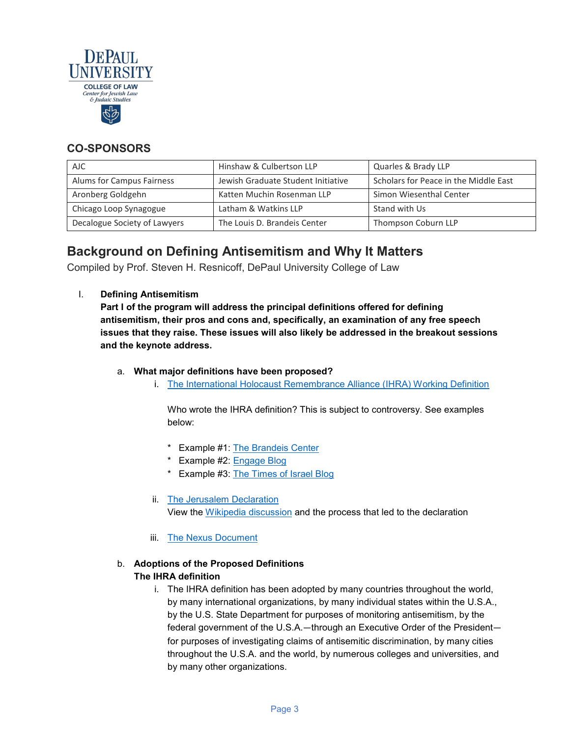

## **CO-SPONSORS**

| AJC                          | Hinshaw & Culbertson LLP           | Quarles & Brady LLP                   |
|------------------------------|------------------------------------|---------------------------------------|
| Alums for Campus Fairness    | Jewish Graduate Student Initiative | Scholars for Peace in the Middle East |
|                              |                                    |                                       |
| Aronberg Goldgehn            | Katten Muchin Rosenman LLP         | Simon Wiesenthal Center               |
| Chicago Loop Synagogue       | Latham & Watkins LLP               | Stand with Us                         |
| Decalogue Society of Lawyers | The Louis D. Brandeis Center       | Thompson Coburn LLP                   |

# **Background on Defining Antisemitism and Why It Matters**

Compiled by Prof. Steven H. Resnicoff, DePaul University College of Law

I. **Defining Antisemitism**

**Part I of the program will address the principal definitions offered for defining antisemitism, their pros and cons and, specifically, an examination of any free speech issues that they raise. These issues will also likely be addressed in the breakout sessions and the keynote address.**

#### a. **What major definitions have been proposed?**

i. [The International Holocaust Remembrance Alliance \(IHRA\) Working Definition](https://holocaustremembrance.com/resources/working-definitions-charters/working-definition-antisemitism)

Who wrote the IHRA definition? This is subject to controversy. See examples below:

- \* Example #1: [The Brandeis Center](https://brandeiscenter.com/who-wrote-the-ihra-working-definition-of-anti-semitism/)
- Example #2: [Engage Blog](https://engageonline.wordpress.com/2021/01/20/ken-stern-isnt-the-only-author-the-ihra-working-definition-of-antisemitism/?fbclid=IwAR0rH9g4sP7x5Qqtzwr853VCxfMWEggVJm0nRypmTgdlGi057WjvYdOSuw4)
- \* Example #3: [The Times of Israel Blog](https://blogs.timesofisrael.com/we-disagree-about-the-working-definition-thats-ok-heres-whats-not/)
- ii. [The Jerusalem Declaration](https://jerusalemdeclaration.org/) View the [Wikipedia discussion](https://en.wikipedia.org/wiki/Jerusalem_Declaration_on_Antisemitism) and the process that led to the declaration
- iii. [The Nexus Document](https://israelandantisemitism.com/the-nexus-document/)

## b. **Adoptions of the Proposed Definitions The IHRA definition**

i. The IHRA definition has been adopted by many countries throughout the world, by many international organizations, by many individual states within the U.S.A., by the U.S. State Department for purposes of monitoring antisemitism, by the federal government of the U.S.A.—through an Executive Order of the President for purposes of investigating claims of antisemitic discrimination, by many cities throughout the U.S.A. and the world, by numerous colleges and universities, and by many other organizations.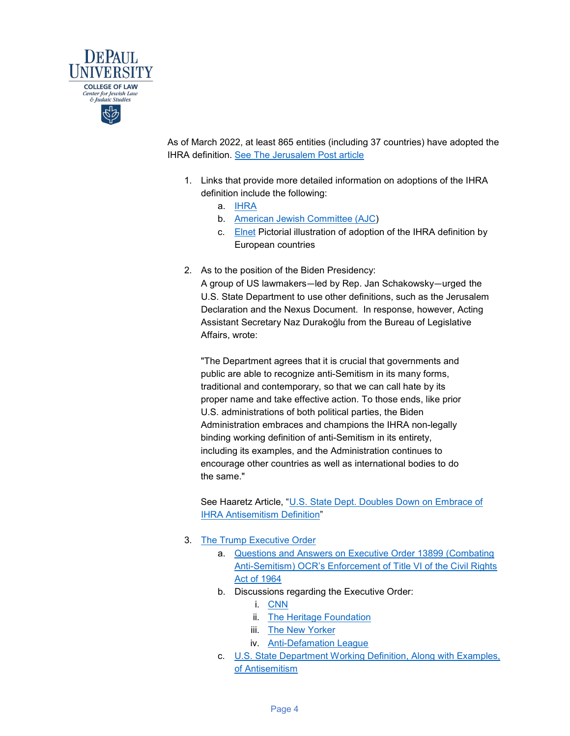

As of March 2022, at least 865 entities (including 37 countries) have adopted the IHRA definition. [See The Jerusalem Post article](https://www.jpost.com/diaspora/antisemitism/article-701485)

- 1. Links that provide more detailed information on adoptions of the IHRA definition include the following:
	- a. [IHRA](https://www.holocaustremembrance.com/resources/working-definitions-charters/working-definition-antisemitism/adoption-endorsement)
	- b. [American Jewish Committee \(AJC\)](https://www.ajc.org/adoption-of-the-working-definition)
	- c. **[Elnet](https://elnetwork.eu/ihra-definition/) Pictorial illustration of adoption of the IHRA definition by** European countries
- 2. As to the position of the Biden Presidency:

A group of US lawmakers—led by Rep. Jan Schakowsky—urged the U.S. State Department to use other definitions, such as the Jerusalem Declaration and the Nexus Document. In response, however, Acting Assistant Secretary Naz Durakoğlu from the Bureau of Legislative Affairs, wrote:

"The Department agrees that it is crucial that governments and public are able to recognize anti-Semitism in its many forms, traditional and contemporary, so that we can call hate by its proper name and take effective action. To those ends, like prior U.S. administrations of both political parties, the Biden Administration embraces and champions the IHRA non-legally binding working definition of anti-Semitism in its entirety, including its examples, and the Administration continues to encourage other countries as well as international bodies to do the same."

See Haaretz Article, ["U.S. State Dept. Doubles Down on Embrace of](https://www.haaretz.com/us-news/.premium-u-s-state-dept-doubles-down-on-embrace-of-ihra-antisemitism-definition-1.9940759) [IHRA Antisemitism Definition"](https://www.haaretz.com/us-news/.premium-u-s-state-dept-doubles-down-on-embrace-of-ihra-antisemitism-definition-1.9940759)

- 3. [The Trump Executive Order](https://trumpwhitehouse.archives.gov/presidential-actions/executive-order-combating-anti-semitism/)
	- a. [Questions and Answers on Executive Order 13899 \(Combating](https://www2.ed.gov/about/offices/list/ocr/docs/qa-titleix-anti-semitism-20210119.pdf?utm_content=&utm_medium=email&utm_name=&utm_source=govdelivery&utm_term=)  [Anti-Semitism\) OCR's Enforcement of Title VI of the Civil Rights](https://www2.ed.gov/about/offices/list/ocr/docs/qa-titleix-anti-semitism-20210119.pdf?utm_content=&utm_medium=email&utm_name=&utm_source=govdelivery&utm_term=)  [Act of 1964](https://www2.ed.gov/about/offices/list/ocr/docs/qa-titleix-anti-semitism-20210119.pdf?utm_content=&utm_medium=email&utm_name=&utm_source=govdelivery&utm_term=)
	- b. Discussions regarding the Executive Order:
		- i. [CNN](https://www.cnn.com/2019/12/12/politics/trump-anti-semitism-executive-order-explained/index.html)
		- ii. [The Heritage Foundation](https://www.heritage.org/religious-liberty/commentary/trumps-executive-order-against-anti-semitism-will-protect-us-jews)
		- iii. [The New Yorker](https://www.newyorker.com/news/our-columnists/the-real-purpose-of-trumps-executive-order-on-anti-semitism)
		- iv. [Anti-Defamation League](https://www.adl.org/resources/backgrounders/the-presidents-executive-order-on-anti-semitism-frequently-asked-questions)
	- c. U.S. State Department [Working Definition, Along with Examples,](https://www.state.gov/defining-antisemitism/)  [of Antisemitism](https://www.state.gov/defining-antisemitism/)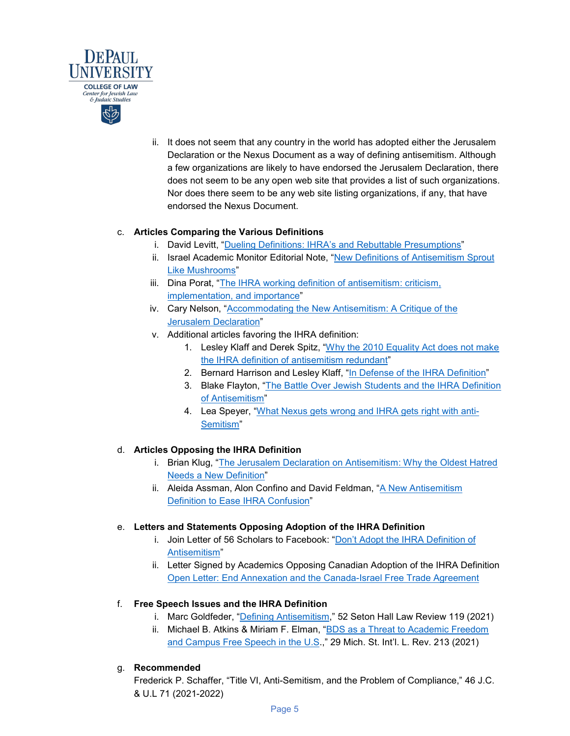

ii. It does not seem that any country in the world has adopted either the Jerusalem Declaration or the Nexus Document as a way of defining antisemitism. Although a few organizations are likely to have endorsed the Jerusalem Declaration, there does not seem to be any open web site that provides a list of such organizations. Nor does there seem to be any web site listing organizations, if any, that have endorsed the Nexus Document.

#### c. **Articles Comparing the Various Definitions**

- i. David Levitt, ["Dueling Definitions: IHRA's and Rebuttable Presumptions"](https://blogs.timesofisrael.com/dueling-definitions-of-antisemitism-ihras-critics-and-rebuttable-presumptions/)
- ii. Israel Academic Monitor Editorial Note, ["New Definitions of Antisemitism Sprout](https://israel-academia-monitor.com/2021/04/07/new-definitions-of-anti-semitism-sprout-like-mushrooms/)  [Like Mushrooms"](https://israel-academia-monitor.com/2021/04/07/new-definitions-of-anti-semitism-sprout-like-mushrooms/)
- iii. Dina Porat, ["The IHRA working definition of antisemitism: criticism,](https://www.antisemitism.co.il/2021/12/the-ihra-working-definition-of.html)  [implementation, and importance"](https://www.antisemitism.co.il/2021/12/the-ihra-working-definition-of.html)
- iv. Cary Nelson, ["Accommodating the New Antisemitism: A Critique of the](https://fathomjournal.org/fathom-long-read-accommodating-the-new-antisemitism-a-critique-of-the-jerusalem-declaration/) Jerusalem [Declaration"](https://fathomjournal.org/fathom-long-read-accommodating-the-new-antisemitism-a-critique-of-the-jerusalem-declaration/)
- v. Additional articles favoring the IHRA definition:
	- 1. Lesley Klaff and Derek Spitz, ["Why the 2010 Equality Act does not make](https://fathomjournal.org/why-the-2010-equality-act-does-not-make-the-ihra-definition-of-antisemitism-redundant/)  [the IHRA definition of antisemitism redundant"](https://fathomjournal.org/why-the-2010-equality-act-does-not-make-the-ihra-definition-of-antisemitism-redundant/)
	- 2. Bernard Harrison and Lesley Klaff, ["In Defense of the IHRA Definition"](https://fathomjournal.org/in-defence-of-the-ihra-definition/)
	- 3. Blake Flayton, ["The Battle Over Jewish Students and the IHRA Definition](https://www.algemeiner.com/2021/01/18/the-battle-over-jewish-students-and-the-ihra-definition-of-antisemitism/)  [of Antisemitism"](https://www.algemeiner.com/2021/01/18/the-battle-over-jewish-students-and-the-ihra-definition-of-antisemitism/)
	- 4. Lea Speyer, ["What Nexus gets wrong and IHRA gets right with anti-](https://www.jns.org/opinion/what-nexus-gets-wrong-and-ihra-gets-right-with-anti-semitism/)[Semitism"](https://www.jns.org/opinion/what-nexus-gets-wrong-and-ihra-gets-right-with-anti-semitism/)

## d. **Articles Opposing the IHRA Definition**

- i. Brian Klug, ["The Jerusalem Declaration on Antisemitism: Why the Oldest Hatred](https://www.thenation.com/article/society/jerusalem-declaration-antisemitism-ihra/)  [Needs a New Definition"](https://www.thenation.com/article/society/jerusalem-declaration-antisemitism-ihra/)
- ii. Aleida Assman, Alon Confino and David Feldman, ["A New Antisemitism](https://euobserver.com/opinion/151343)  [Definition to Ease IHRA Confusion"](https://euobserver.com/opinion/151343)

## e. **Letters and Statements Opposing Adoption of the IHRA Definition**

- i. Join Letter of 56 Scholars to Facebook: ["Don't Adopt the IHRA Definition of](https://www.bacbi.be/pdf/Joint-Letter-to-fb-against-IHRA.pdf)  [Antisemitism"](https://www.bacbi.be/pdf/Joint-Letter-to-fb-against-IHRA.pdf)
- ii. Letter Signed by Academics Opposing Canadian Adoption of the IHRA Definition [Open Letter: End Annexation and the Canada-Israel Free Trade Agreement](https://www.ijvcanada.org/open-letter-end-annexation-the-canada-israel-free-trade-agreement/)

## f. **Free Speech Issues and the IHRA Definition**

- i. Marc Goldfeder, ["Defining Antisemitism,](https://scholarship.shu.edu/cgi/viewcontent.cgi?article=1808&context=shlr)" 52 Seton Hall Law Review 119 (2021)
- ii. Michael B. Atkins & Miriam F. Elman, ["BDS as a Threat to Academic Freedom](https://academicengagement.org/wp-content/uploads/2021/07/MSU-ILR_Elman_Atkins_2020.pdf)  [and Campus Free Speech in the U.S.](https://academicengagement.org/wp-content/uploads/2021/07/MSU-ILR_Elman_Atkins_2020.pdf)," 29 Mich. St. Int'l. L. Rev. 213 (2021)

### g. **Recommended**

Frederick P. Schaffer, "Title VI, Anti-Semitism, and the Problem of Compliance," 46 J.C. & U.L 71 (2021-2022)